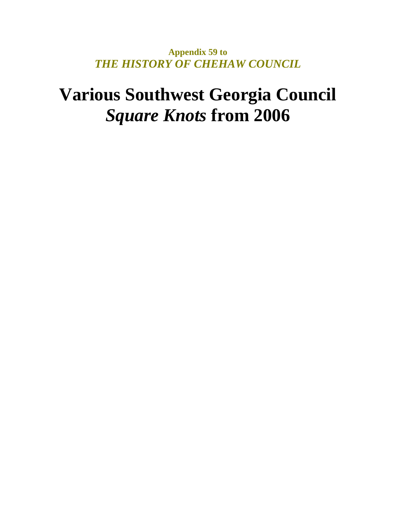**Appendix 59 to**  *THE HISTORY OF CHEHAW COUNCIL* 

# **Various Southwest Georgia Council**  *Square Knots* **from 2006**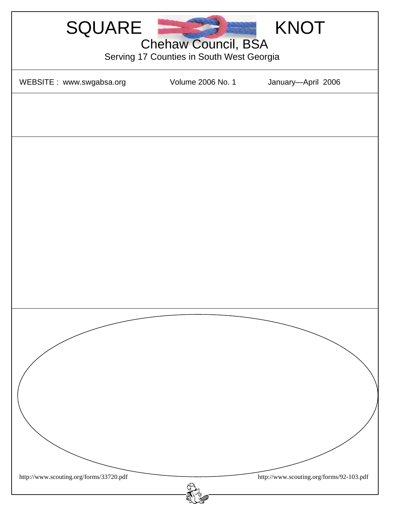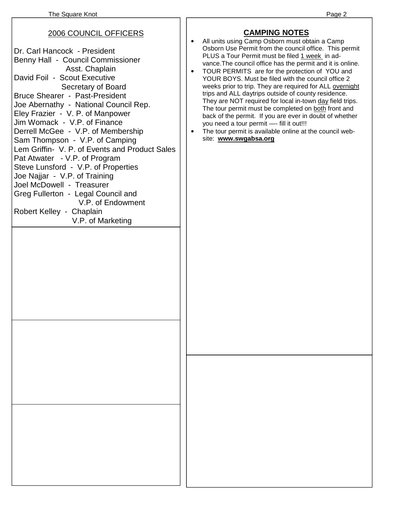#### 2006 COUNCIL OFFICERS

Dr. Carl Hancock - President Benny Hall - Council Commissioner Asst. Chaplain David Foil - Scout Executive Secretary of Board Bruce Shearer - Past-President Joe Abernathy - National Council Rep. Eley Frazier - V. P. of Manpower Jim Womack - V.P. of Finance Derrell McGee - V.P. of Membership Sam Thompson - V.P. of Camping Lem Griffin- V. P. of Events and Product Sales Pat Atwater - V.P. of Program Steve Lunsford - V.P. of Properties Joe Najjar - V.P. of Training Joel McDowell - Treasurer Greg Fullerton - Legal Council and V.P. of Endowment Robert Kelley - Chaplain V.P. of Marketing

#### **CAMPING NOTES**

- All units using Camp Osborn must obtain a Camp Osborn Use Permit from the council office. This permit PLUS a Tour Permit must be filed 1 week in advance.The council office has the permit and it is online.
- TOUR PERMITS are for the protection of YOU and YOUR BOYS. Must be filed with the council office 2 weeks prior to trip. They are required for ALL overnight trips and ALL daytrips outside of county residence. They are NOT required for local in-town day field trips. The tour permit must be completed on both front and back of the permit. If you are ever in doubt of whether you need a tour permit - fill it out!!!
- The tour permit is available online at the council website: **www.swgabsa.org**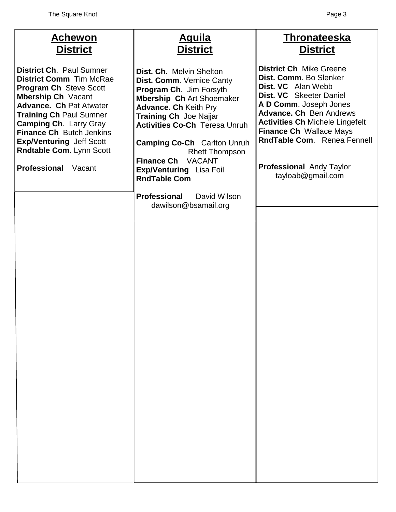| <u>Aguila</u><br><b>District</b>                                                                                                                                                                                                                                                                                                                                                            | <b>Thronateeska</b><br><b>District</b>                                                                                                                                                                                                                                                                                            |
|---------------------------------------------------------------------------------------------------------------------------------------------------------------------------------------------------------------------------------------------------------------------------------------------------------------------------------------------------------------------------------------------|-----------------------------------------------------------------------------------------------------------------------------------------------------------------------------------------------------------------------------------------------------------------------------------------------------------------------------------|
| Dist. Ch. Melvin Shelton<br>Dist. Comm. Vernice Canty<br>Program Ch. Jim Forsyth<br><b>Mbership Ch Art Shoemaker</b><br><b>Advance. Ch Keith Pry</b><br><b>Training Ch</b> Joe Najjar<br><b>Activities Co-Ch Teresa Unruh</b><br><b>Camping Co-Ch</b> Carlton Unruh<br><b>Rhett Thompson</b><br><b>Finance Ch</b><br><b>VACANT</b><br><b>Exp/Venturing Lisa Foil</b><br><b>RndTable Com</b> | <b>District Ch Mike Greene</b><br>Dist. Comm. Bo Slenker<br>Dist. VC Alan Webb<br>Dist. VC Skeeter Daniel<br>A D Comm. Joseph Jones<br><b>Advance. Ch</b> Ben Andrews<br><b>Activities Ch Michele Lingefelt</b><br><b>Finance Ch Wallace Mays</b><br>RndTable Com. Renea Fennell<br>Professional Andy Taylor<br>tayloab@gmail.com |
| <b>Professional</b><br>David Wilson<br>dawilson@bsamail.org                                                                                                                                                                                                                                                                                                                                 |                                                                                                                                                                                                                                                                                                                                   |
|                                                                                                                                                                                                                                                                                                                                                                                             |                                                                                                                                                                                                                                                                                                                                   |
|                                                                                                                                                                                                                                                                                                                                                                                             |                                                                                                                                                                                                                                                                                                                                   |
|                                                                                                                                                                                                                                                                                                                                                                                             |                                                                                                                                                                                                                                                                                                                                   |
|                                                                                                                                                                                                                                                                                                                                                                                             |                                                                                                                                                                                                                                                                                                                                   |
|                                                                                                                                                                                                                                                                                                                                                                                             |                                                                                                                                                                                                                                                                                                                                   |
|                                                                                                                                                                                                                                                                                                                                                                                             |                                                                                                                                                                                                                                                                                                                                   |
|                                                                                                                                                                                                                                                                                                                                                                                             |                                                                                                                                                                                                                                                                                                                                   |
|                                                                                                                                                                                                                                                                                                                                                                                             |                                                                                                                                                                                                                                                                                                                                   |
|                                                                                                                                                                                                                                                                                                                                                                                             |                                                                                                                                                                                                                                                                                                                                   |
|                                                                                                                                                                                                                                                                                                                                                                                             |                                                                                                                                                                                                                                                                                                                                   |
|                                                                                                                                                                                                                                                                                                                                                                                             |                                                                                                                                                                                                                                                                                                                                   |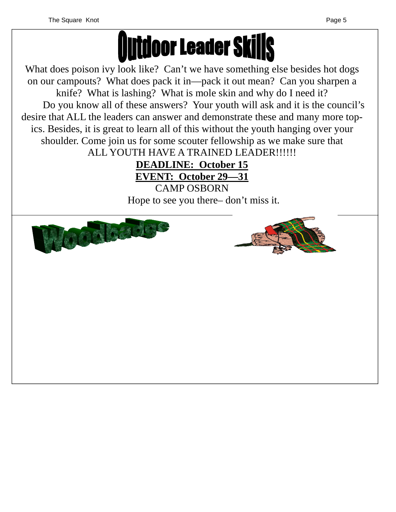

What does poison ivy look like? Can't we have something else besides hot dogs on our campouts? What does pack it in—pack it out mean? Can you sharpen a knife? What is lashing? What is mole skin and why do I need it? Do you know all of these answers? Your youth will ask and it is the council's desire that ALL the leaders can answer and demonstrate these and many more topics. Besides, it is great to learn all of this without the youth hanging over your shoulder. Come join us for some scouter fellowship as we make sure that ALL YOUTH HAVE A TRAINED LEADER!!!!!!

**DEADLINE: October 15 EVENT: October 29—31**

CAMP OSBORN Hope to see you there– don't miss it.



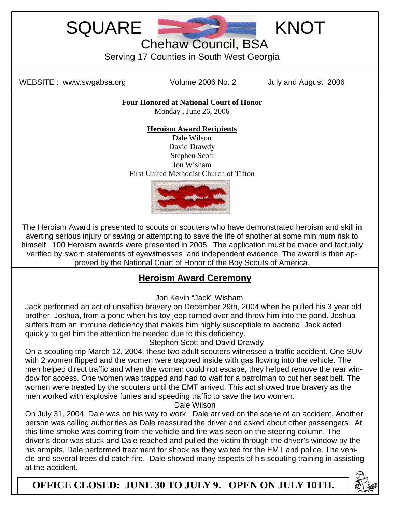



Chehaw Council, BSA

Serving 17 Counties in South West Georgia

WEBSITE : www.swgabsa.org Volume 2006 No. 2 July and August 2006

**Four Honored at National Court of Honor**  Monday , June 26, 2006

#### **Heroism Award Recipients**

Dale Wilson David Drawdy Stephen Scott Jon Wisham First United Methodist Church of Tifton



The Heroism Award is presented to scouts or scouters who have demonstrated heroism and skill in averting serious injury or saving or attempting to save the life of another at some minimum risk to himself. 100 Heroism awards were presented in 2005. The application must be made and factually verified by sworn statements of eyewitnesses and independent evidence. The award is then approved by the National Court of Honor of the Boy Scouts of America.

#### **Heroism Award Ceremony**

Jon Kevin "Jack" Wisham

Jack performed an act of unselfish bravery on December 29th, 2004 when he pulled his 3 year old brother, Joshua, from a pond when his toy jeep turned over and threw him into the pond. Joshua suffers from an immune deficiency that makes him highly susceptible to bacteria. Jack acted quickly to get him the attention he needed due to this deficiency.

#### Stephen Scott and David Drawdy

On a scouting trip March 12, 2004, these two adult scouters witnessed a traffic accident. One SUV with 2 women flipped and the women were trapped inside with gas flowing into the vehicle. The men helped direct traffic and when the women could not escape, they helped remove the rear window for access. One women was trapped and had to wait for a patrolman to cut her seat belt. The women were treated by the scouters until the EMT arrived. This act showed true bravery as the men worked with explosive fumes and speeding traffic to save the two women.

Dale Wilson

On July 31, 2004, Dale was on his way to work. Dale arrived on the scene of an accident. Another person was calling authorities as Dale reassured the driver and asked about other passengers. At this time smoke was coming from the vehicle and fire was seen on the steering column. The driver's door was stuck and Dale reached and pulled the victim through the driver's window by the his armpits. Dale performed treatment for shock as they waited for the EMT and police. The vehicle and several trees did catch fire. Dale showed many aspects of his scouting training in assisting at the accident.

**OFFICE CLOSED: JUNE 30 TO JULY 9. OPEN ON JULY 10TH.** 

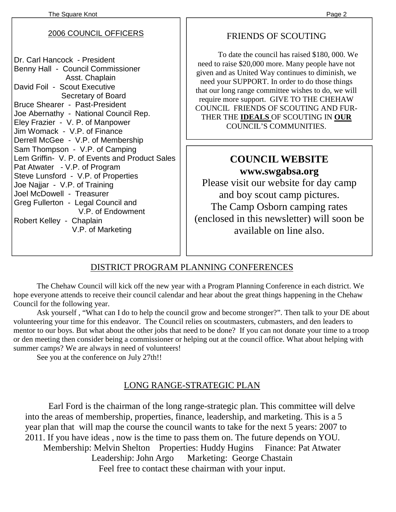#### 2006 COUNCIL OFFICERS

Dr. Carl Hancock - President Benny Hall - Council Commissioner Asst. Chaplain David Foil - Scout Executive Secretary of Board Bruce Shearer - Past-President Joe Abernathy - National Council Rep. Eley Frazier - V. P. of Manpower Jim Womack - V.P. of Finance Derrell McGee - V.P. of Membership Sam Thompson - V.P. of Camping Lem Griffin- V. P. of Events and Product Sales Pat Atwater - V.P. of Program Steve Lunsford - V.P. of Properties Joe Najjar - V.P. of Training Joel McDowell - Treasurer Greg Fullerton - Legal Council and V.P. of Endowment Robert Kelley - Chaplain V.P. of Marketing

### FRIENDS OF SCOUTING

 To date the council has raised \$180, 000. We need to raise \$20,000 more. Many people have not given and as United Way continues to diminish, we need your SUPPORT. In order to do those things that our long range committee wishes to do, we will require more support. GIVE TO THE CHEHAW COUNCIL FRIENDS OF SCOUTING AND FUR-THER THE **IDEALS** OF SCOUTING IN **OUR** COUNCIL'S COMMUNITIES.

# **COUNCIL WEBSITE www.swgabsa.org**

Please visit our website for day camp and boy scout camp pictures. The Camp Osborn camping rates (enclosed in this newsletter) will soon be available on line also.

# DISTRICT PROGRAM PLANNING CONFERENCES

 The Chehaw Council will kick off the new year with a Program Planning Conference in each district. We hope everyone attends to receive their council calendar and hear about the great things happening in the Chehaw Council for the following year.

 Ask yourself , "What can I do to help the council grow and become stronger?". Then talk to your DE about volunteering your time for this endeavor. The Council relies on scoutmasters, cubmasters, and den leaders to mentor to our boys. But what about the other jobs that need to be done? If you can not donate your time to a troop or den meeting then consider being a commissioner or helping out at the council office. What about helping with summer camps? We are always in need of volunteers!

See you at the conference on July 27th!!

# LONG RANGE-STRATEGIC PLAN

Earl Ford is the chairman of the long range-strategic plan. This committee will delve into the areas of membership, properties, finance, leadership, and marketing. This is a 5 year plan that will map the course the council wants to take for the next 5 years: 2007 to 2011. If you have ideas , now is the time to pass them on. The future depends on YOU. Membership: Melvin Shelton Properties: Huddy Hugins Finance: Pat Atwater Leadership: John Argo Marketing: George Chastain Feel free to contact these chairman with your input.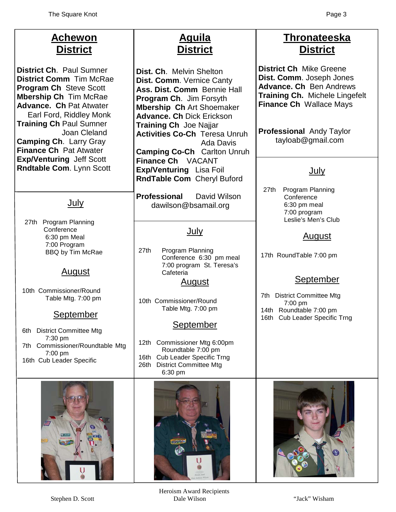| <b>Achewon</b><br><b>District</b>                                                                                                                                                                                                                                                                                                                      | <u>Aguila</u><br><b>District</b>                                                                                                                                                                                                                                                                                                                | <b>Thronateeska</b><br><b>District</b>                                                                                                                                                                                   |
|--------------------------------------------------------------------------------------------------------------------------------------------------------------------------------------------------------------------------------------------------------------------------------------------------------------------------------------------------------|-------------------------------------------------------------------------------------------------------------------------------------------------------------------------------------------------------------------------------------------------------------------------------------------------------------------------------------------------|--------------------------------------------------------------------------------------------------------------------------------------------------------------------------------------------------------------------------|
| <b>District Ch. Paul Sumner</b><br><b>District Comm</b> Tim McRae<br><b>Program Ch Steve Scott</b><br><b>Mbership Ch Tim McRae</b><br><b>Advance. Ch Pat Atwater</b><br>Earl Ford, Riddley Monk<br><b>Training Ch Paul Sumner</b><br>Joan Cleland<br><b>Camping Ch. Larry Gray</b><br><b>Finance Ch Pat Atwater</b><br><b>Exp/Venturing Jeff Scott</b> | Dist. Ch. Melvin Shelton<br>Dist. Comm. Vernice Canty<br>Ass. Dist. Comm Bennie Hall<br><b>Program Ch.</b> Jim Forsyth<br><b>Mbership Ch Art Shoemaker</b><br><b>Advance. Ch Dick Erickson</b><br><b>Training Ch</b> Joe Najjar<br><b>Activities Co-Ch Teresa Unruh</b><br>Ada Davis<br><b>Camping Co-Ch</b> Carlton Unruh<br>Finance Ch VACANT | <b>District Ch Mike Greene</b><br>Dist. Comm. Joseph Jones<br><b>Advance. Ch</b> Ben Andrews<br><b>Training Ch. Michele Lingefelt</b><br>Finance Ch Wallace Mays<br><b>Professional Andy Taylor</b><br>tayloab@gmail.com |
| Rndtable Com. Lynn Scott                                                                                                                                                                                                                                                                                                                               | <b>Exp/Venturing</b> Lisa Foil<br>RndTable Com Cheryl Buford                                                                                                                                                                                                                                                                                    | <u>July</u>                                                                                                                                                                                                              |
| July                                                                                                                                                                                                                                                                                                                                                   | <b>Professional</b><br>David Wilson<br>dawilson@bsamail.org                                                                                                                                                                                                                                                                                     | Program Planning<br>27th<br>Conference<br>6:30 pm meal<br>7:00 program<br>Leslie's Men's Club                                                                                                                            |
| 27th Program Planning<br>Conference<br>6:30 pm Meal                                                                                                                                                                                                                                                                                                    | <u>July</u>                                                                                                                                                                                                                                                                                                                                     | <u>August</u>                                                                                                                                                                                                            |
| 7:00 Program<br>BBQ by Tim McRae<br><u>August</u>                                                                                                                                                                                                                                                                                                      | 27th<br>Program Planning<br>Conference 6:30 pm meal<br>7:00 program St. Teresa's<br>Cafeteria                                                                                                                                                                                                                                                   | 17th RoundTable 7:00 pm                                                                                                                                                                                                  |
| 10th Commissioner/Round<br>Table Mtg. 7:00 pm                                                                                                                                                                                                                                                                                                          | <u>August</u>                                                                                                                                                                                                                                                                                                                                   | <b>September</b><br><b>District Committee Mtg</b><br>7th                                                                                                                                                                 |
| <b>September</b>                                                                                                                                                                                                                                                                                                                                       | 10th Commissioner/Round<br>Table Mtg. 7:00 pm                                                                                                                                                                                                                                                                                                   | 7:00 pm<br>14th Roundtable 7:00 pm<br>16th Cub Leader Specific Trng                                                                                                                                                      |
| <b>District Committee Mtg</b><br>6th<br>7:30 pm                                                                                                                                                                                                                                                                                                        | <b>September</b><br>12th Commissioner Mtg 6:00pm                                                                                                                                                                                                                                                                                                |                                                                                                                                                                                                                          |
| 7th Commissioner/Roundtable Mtg<br>7:00 pm<br>16th Cub Leader Specific                                                                                                                                                                                                                                                                                 | Roundtable 7:00 pm<br><b>Cub Leader Specific Trng</b><br>16th<br><b>District Committee Mtg</b><br>26th<br>6:30 pm                                                                                                                                                                                                                               |                                                                                                                                                                                                                          |
|                                                                                                                                                                                                                                                                                                                                                        |                                                                                                                                                                                                                                                                                                                                                 |                                                                                                                                                                                                                          |

Heroism Award Recipients Stephen D. Scott Dale Wilson "Jack" Wisham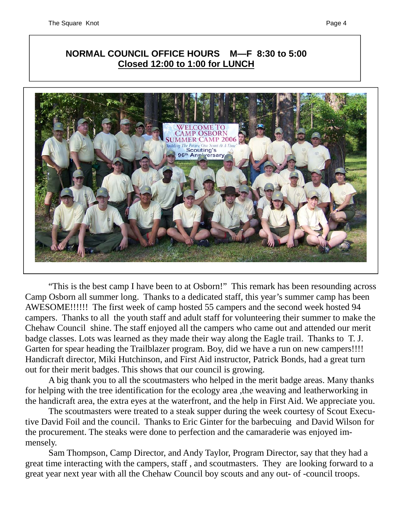## **NORMAL COUNCIL OFFICE HOURS M—F 8:30 to 5:00 Closed 12:00 to 1:00 for LUNCH**



 "This is the best camp I have been to at Osborn!" This remark has been resounding across Camp Osborn all summer long. Thanks to a dedicated staff, this year's summer camp has been AWESOME!!!!!! The first week of camp hosted 55 campers and the second week hosted 94 campers. Thanks to all the youth staff and adult staff for volunteering their summer to make the Chehaw Council shine. The staff enjoyed all the campers who came out and attended our merit badge classes. Lots was learned as they made their way along the Eagle trail. Thanks to T. J. Garten for spear heading the Trailblazer program. Boy, did we have a run on new campers!!!! Handicraft director, Miki Hutchinson, and First Aid instructor, Patrick Bonds, had a great turn out for their merit badges. This shows that our council is growing.

 A big thank you to all the scoutmasters who helped in the merit badge areas. Many thanks for helping with the tree identification for the ecology area ,the weaving and leatherworking in the handicraft area, the extra eyes at the waterfront, and the help in First Aid. We appreciate you.

 The scoutmasters were treated to a steak supper during the week courtesy of Scout Executive David Foil and the council. Thanks to Eric Ginter for the barbecuing and David Wilson for the procurement. The steaks were done to perfection and the camaraderie was enjoyed immensely.

 Sam Thompson, Camp Director, and Andy Taylor, Program Director, say that they had a great time interacting with the campers, staff , and scoutmasters. They are looking forward to a great year next year with all the Chehaw Council boy scouts and any out- of -council troops.